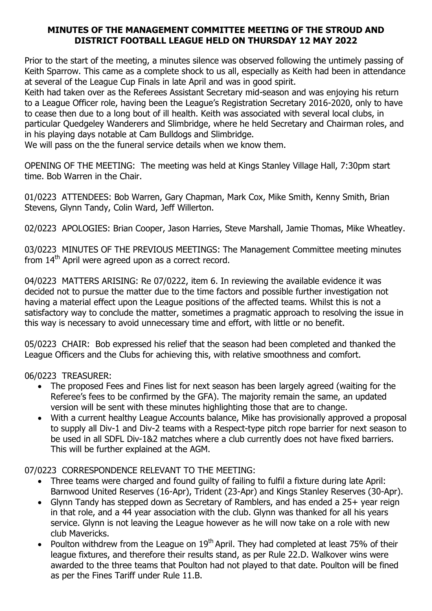### MINUTES OF THE MANAGEMENT COMMITTEE MEETING OF THE STROUD AND DISTRICT FOOTBALL LEAGUE HELD ON THURSDAY 12 MAY 2022

Prior to the start of the meeting, a minutes silence was observed following the untimely passing of Keith Sparrow. This came as a complete shock to us all, especially as Keith had been in attendance at several of the League Cup Finals in late April and was in good spirit.

Keith had taken over as the Referees Assistant Secretary mid-season and was enjoying his return to a League Officer role, having been the League's Registration Secretary 2016-2020, only to have to cease then due to a long bout of ill health. Keith was associated with several local clubs, in particular Quedgeley Wanderers and Slimbridge, where he held Secretary and Chairman roles, and in his playing days notable at Cam Bulldogs and Slimbridge.

We will pass on the the funeral service details when we know them.

OPENING OF THE MEETING: The meeting was held at Kings Stanley Village Hall, 7:30pm start time. Bob Warren in the Chair.

01/0223 ATTENDEES: Bob Warren, Gary Chapman, Mark Cox, Mike Smith, Kenny Smith, Brian Stevens, Glynn Tandy, Colin Ward, Jeff Willerton.

02/0223 APOLOGIES: Brian Cooper, Jason Harries, Steve Marshall, Jamie Thomas, Mike Wheatley.

03/0223 MINUTES OF THE PREVIOUS MEETINGS: The Management Committee meeting minutes from 14<sup>th</sup> April were agreed upon as a correct record.

04/0223 MATTERS ARISING: Re 07/0222, item 6. In reviewing the available evidence it was decided not to pursue the matter due to the time factors and possible further investigation not having a material effect upon the League positions of the affected teams. Whilst this is not a satisfactory way to conclude the matter, sometimes a pragmatic approach to resolving the issue in this way is necessary to avoid unnecessary time and effort, with little or no benefit.

05/0223 CHAIR: Bob expressed his relief that the season had been completed and thanked the League Officers and the Clubs for achieving this, with relative smoothness and comfort.

06/0223 TREASURER:

- The proposed Fees and Fines list for next season has been largely agreed (waiting for the Referee's fees to be confirmed by the GFA). The majority remain the same, an updated version will be sent with these minutes highlighting those that are to change.
- With a current healthy League Accounts balance, Mike has provisionally approved a proposal to supply all Div-1 and Div-2 teams with a Respect-type pitch rope barrier for next season to be used in all SDFL Div-1&2 matches where a club currently does not have fixed barriers. This will be further explained at the AGM.

07/0223 CORRESPONDENCE RELEVANT TO THE MEETING:

- Three teams were charged and found guilty of failing to fulfil a fixture during late April: Barnwood United Reserves (16-Apr), Trident (23-Apr) and Kings Stanley Reserves (30-Apr).
- Glynn Tandy has stepped down as Secretary of Ramblers, and has ended a 25+ year reign in that role, and a 44 year association with the club. Glynn was thanked for all his years service. Glynn is not leaving the League however as he will now take on a role with new club Mavericks.
- Poulton withdrew from the League on  $19<sup>th</sup>$  April. They had completed at least 75% of their league fixtures, and therefore their results stand, as per Rule 22.D. Walkover wins were awarded to the three teams that Poulton had not played to that date. Poulton will be fined as per the Fines Tariff under Rule 11.B.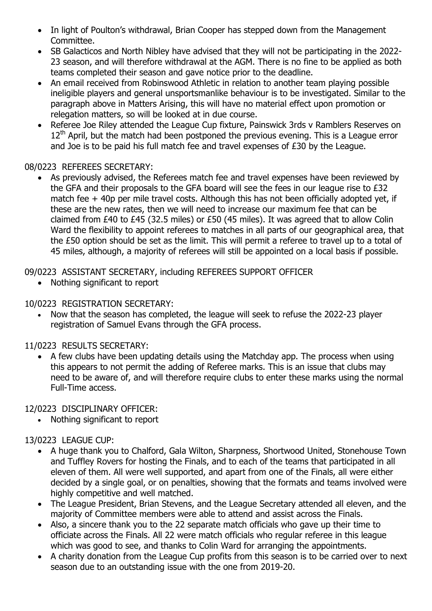- In light of Poulton's withdrawal, Brian Cooper has stepped down from the Management Committee.
- SB Galacticos and North Nibley have advised that they will not be participating in the 2022- 23 season, and will therefore withdrawal at the AGM. There is no fine to be applied as both teams completed their season and gave notice prior to the deadline.
- An email received from Robinswood Athletic in relation to another team playing possible ineligible players and general unsportsmanlike behaviour is to be investigated. Similar to the paragraph above in Matters Arising, this will have no material effect upon promotion or relegation matters, so will be looked at in due course.
- Referee Joe Riley attended the League Cup fixture, Painswick 3rds y Ramblers Reserves on  $12<sup>th</sup>$  April, but the match had been postponed the previous evening. This is a League error and Joe is to be paid his full match fee and travel expenses of £30 by the League.

### 08/0223 REFEREES SECRETARY:

 As previously advised, the Referees match fee and travel expenses have been reviewed by the GFA and their proposals to the GFA board will see the fees in our league rise to £32 match fee + 40p per mile travel costs. Although this has not been officially adopted yet, if these are the new rates, then we will need to increase our maximum fee that can be claimed from £40 to £45 (32.5 miles) or £50 (45 miles). It was agreed that to allow Colin Ward the flexibility to appoint referees to matches in all parts of our geographical area, that the £50 option should be set as the limit. This will permit a referee to travel up to a total of 45 miles, although, a majority of referees will still be appointed on a local basis if possible.

09/0223 ASSISTANT SECRETARY, including REFEREES SUPPORT OFFICER

• Nothing significant to report

### 10/0223 REGISTRATION SECRETARY:

 Now that the season has completed, the league will seek to refuse the 2022-23 player registration of Samuel Evans through the GFA process.

# 11/0223 RESULTS SECRETARY:

 A few clubs have been updating details using the Matchday app. The process when using this appears to not permit the adding of Referee marks. This is an issue that clubs may need to be aware of, and will therefore require clubs to enter these marks using the normal Full-Time access.

# 12/0223 DISCIPLINARY OFFICER:

Nothing significant to report

# 13/0223 LEAGUE CUP:

- A huge thank you to Chalford, Gala Wilton, Sharpness, Shortwood United, Stonehouse Town and Tuffley Rovers for hosting the Finals, and to each of the teams that participated in all eleven of them. All were well supported, and apart from one of the Finals, all were either decided by a single goal, or on penalties, showing that the formats and teams involved were highly competitive and well matched.
- The League President, Brian Stevens, and the League Secretary attended all eleven, and the majority of Committee members were able to attend and assist across the Finals.
- Also, a sincere thank you to the 22 separate match officials who gave up their time to officiate across the Finals. All 22 were match officials who regular referee in this league which was good to see, and thanks to Colin Ward for arranging the appointments.
- A charity donation from the League Cup profits from this season is to be carried over to next season due to an outstanding issue with the one from 2019-20.